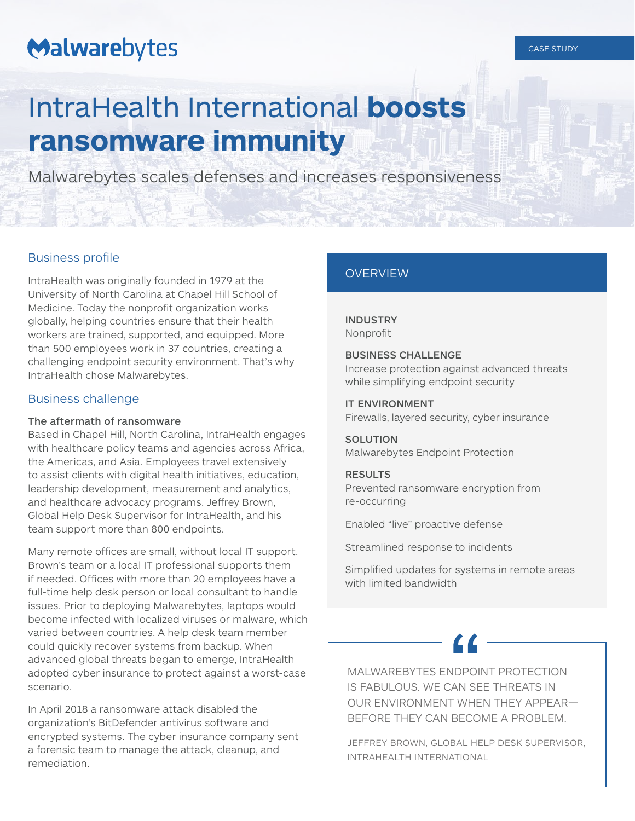# Malwarebytes

## CASE STUDY

# IntraHealth International **boosts ransomware immunity**

Malwarebytes scales defenses and increases responsiveness

## Business profile

IntraHealth was originally founded in 1979 at the University of North Carolina at Chapel Hill School of Medicine. Today the nonprofit organization works globally, helping countries ensure that their health workers are trained, supported, and equipped. More than 500 employees work in 37 countries, creating a challenging endpoint security environment. That's why IntraHealth chose Malwarebytes.

## Business challenge

## The aftermath of ransomware

Based in Chapel Hill, North Carolina, IntraHealth engages with healthcare policy teams and agencies across Africa, the Americas, and Asia. Employees travel extensively to assist clients with digital health initiatives, education, leadership development, measurement and analytics, and healthcare advocacy programs. Jeffrey Brown, Global Help Desk Supervisor for IntraHealth, and his team support more than 800 endpoints.

Many remote offices are small, without local IT support. Brown's team or a local IT professional supports them if needed. Offices with more than 20 employees have a full-time help desk person or local consultant to handle issues. Prior to deploying Malwarebytes, laptops would become infected with localized viruses or malware, which varied between countries. A help desk team member could quickly recover systems from backup. When advanced global threats began to emerge, IntraHealth adopted cyber insurance to protect against a worst-case scenario.

In April 2018 a ransomware attack disabled the organization's BitDefender antivirus software and encrypted systems. The cyber insurance company sent a forensic team to manage the attack, cleanup, and remediation.

## **OVERVIEW**

## INDUSTRY Nonprofit

## BUSINESS CHALLENGE

Increase protection against advanced threats while simplifying endpoint security

## IT ENVIRONMENT

Firewalls, layered security, cyber insurance

## **SOLUTION** Malwarebytes Endpoint Protection

## RESULTS

Prevented ransomware encryption from re-occurring

Enabled "live" proactive defense

Streamlined response to incidents

Simplified updates for systems in remote areas with limited bandwidth

MALWAREBYTES ENDPOINT PROTECTION IS FABULOUS. WE CAN SEE THREATS IN OUR ENVIRONMENT WHEN THEY APPEAR— BEFORE THEY CAN BECOME A PROBLEM.

JEFFREY BROWN, GLOBAL HELP DESK SUPERVISOR, INTRAHEALTH INTERNATIONAL